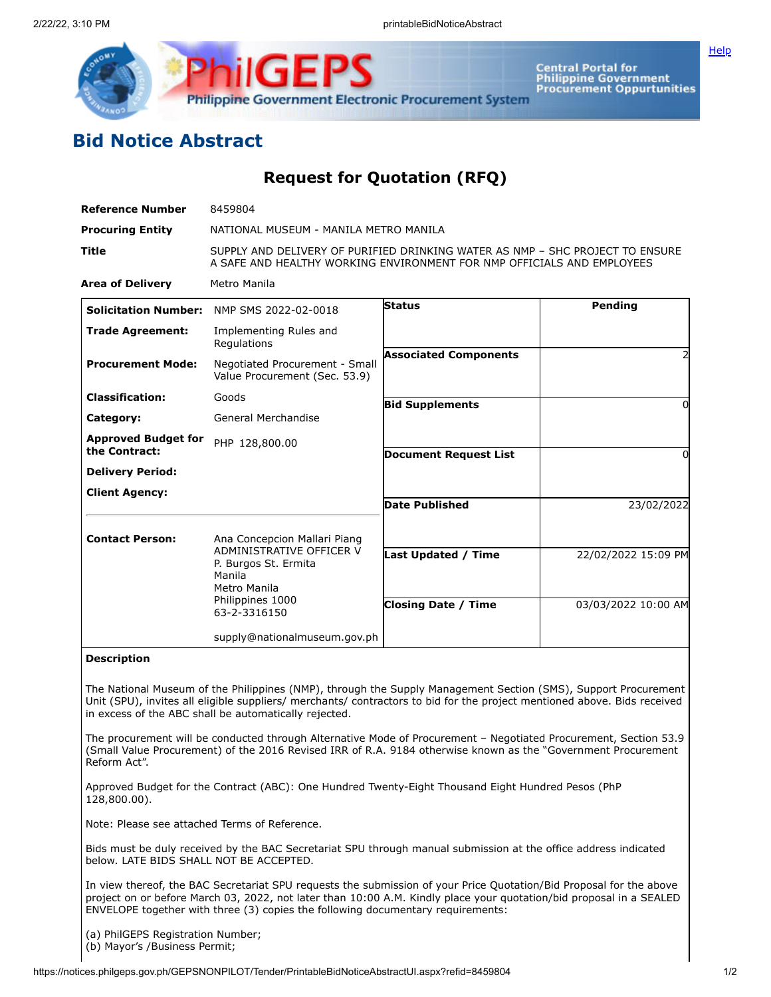

Central Portal for<br>Philippine Government<br>Procurement Oppurtunities

**[Help](javascript:void(window.open()** 

## **Bid Notice Abstract**

**Request for Quotation (RFQ)**

| <b>Reference Number</b>                     | 8459804                                                                                                                                                 |                              |                     |
|---------------------------------------------|---------------------------------------------------------------------------------------------------------------------------------------------------------|------------------------------|---------------------|
| <b>Procuring Entity</b>                     | NATIONAL MUSEUM - MANILA METRO MANILA                                                                                                                   |                              |                     |
| Title                                       | SUPPLY AND DELIVERY OF PURIFIED DRINKING WATER AS NMP - SHC PROJECT TO ENSURE<br>A SAFE AND HEALTHY WORKING ENVIRONMENT FOR NMP OFFICIALS AND EMPLOYEES |                              |                     |
| <b>Area of Delivery</b>                     | Metro Manila                                                                                                                                            |                              |                     |
|                                             | Solicitation Number: NMP SMS 2022-02-0018                                                                                                               | Status                       | Pending             |
| <b>Trade Agreement:</b>                     | Implementing Rules and<br>Regulations                                                                                                                   |                              |                     |
| <b>Procurement Mode:</b>                    | Negotiated Procurement - Small<br>Value Procurement (Sec. 53.9)                                                                                         | <b>Associated Components</b> |                     |
| <b>Classification:</b>                      | Goods                                                                                                                                                   | <b>Bid Supplements</b>       | ŋ                   |
| Category:                                   | General Merchandise                                                                                                                                     |                              |                     |
| <b>Approved Budget for</b><br>the Contract: | PHP 128,800.00                                                                                                                                          | <b>Document Request List</b> | 0                   |
| <b>Delivery Period:</b>                     |                                                                                                                                                         |                              |                     |
| <b>Client Agency:</b>                       |                                                                                                                                                         |                              |                     |
|                                             |                                                                                                                                                         | Date Published               | 23/02/2022          |
| <b>Contact Person:</b>                      | Ana Concepcion Mallari Piang                                                                                                                            |                              |                     |
|                                             | ADMINISTRATIVE OFFICER V<br>P. Burgos St. Ermita<br>Manila<br>Metro Manila                                                                              | <b>Last Updated / Time</b>   | 22/02/2022 15:09 PM |
|                                             | Philippines 1000<br>63-2-3316150                                                                                                                        | <b>Closing Date / Time</b>   | 03/03/2022 10:00 AM |
|                                             | supply@nationalmuseum.gov.ph                                                                                                                            |                              |                     |
| <b>Description</b>                          |                                                                                                                                                         |                              |                     |

The National Museum of the Philippines (NMP), through the Supply Management Section (SMS), Support Procurement Unit (SPU), invites all eligible suppliers/ merchants/ contractors to bid for the project mentioned above. Bids received in excess of the ABC shall be automatically rejected.

The procurement will be conducted through Alternative Mode of Procurement – Negotiated Procurement, Section 53.9 (Small Value Procurement) of the 2016 Revised IRR of R.A. 9184 otherwise known as the "Government Procurement Reform Act".

Approved Budget for the Contract (ABC): One Hundred Twenty-Eight Thousand Eight Hundred Pesos (PhP 128,800.00).

Note: Please see attached Terms of Reference.

Bids must be duly received by the BAC Secretariat SPU through manual submission at the office address indicated below. LATE BIDS SHALL NOT BE ACCEPTED.

In view thereof, the BAC Secretariat SPU requests the submission of your Price Quotation/Bid Proposal for the above project on or before March 03, 2022, not later than 10:00 A.M. Kindly place your quotation/bid proposal in a SEALED ENVELOPE together with three (3) copies the following documentary requirements:

(a) PhilGEPS Registration Number; (b) Mayor's /Business Permit;